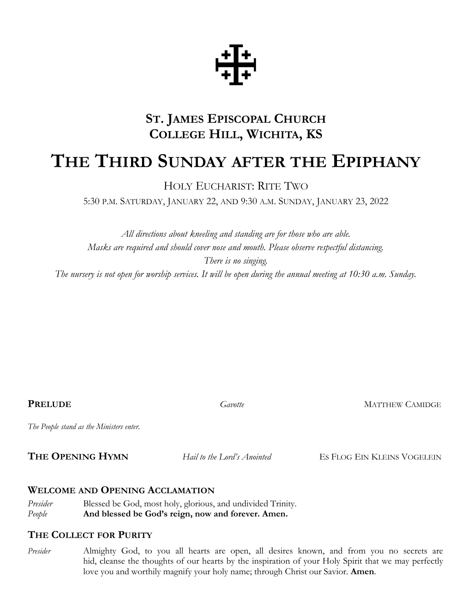

# **ST. JAMES EPISCOPAL CHURCH COLLEGE HILL, WICHITA, KS**

# **THE THIRD SUNDAY AFTER THE EPIPHANY**

HOLY EUCHARIST: RITE TWO

5:30 P.M. SATURDAY, JANUARY 22, AND 9:30 A.M. SUNDAY, JANUARY 23, 2022

*All directions about kneeling and standing are for those who are able. Masks are required and should cover nose and mouth. Please observe respectful distancing. There is no singing. The nursery is not open for worship services. It will be open during the annual meeting at 10:30 a.m. Sunday.*

**PRELUDE** Gavotte **Gavotte MATTHEW CAMIDGE** 

*The People stand as the Ministers enter.* 

**THE OPENING HYMN** *Hail to the Lord's Anointed* ES FLOG EIN KLEINS VOGELEIN

## **WELCOME AND OPENING ACCLAMATION**

*Presider* Blessed be God, most holy, glorious, and undivided Trinity. *People* **And blessed be God's reign, now and forever. Amen.** 

## **THE COLLECT FOR PURITY**

*Presider* Almighty God, to you all hearts are open, all desires known, and from you no secrets are hid, cleanse the thoughts of our hearts by the inspiration of your Holy Spirit that we may perfectly love you and worthily magnify your holy name; through Christ our Savior. **Amen**.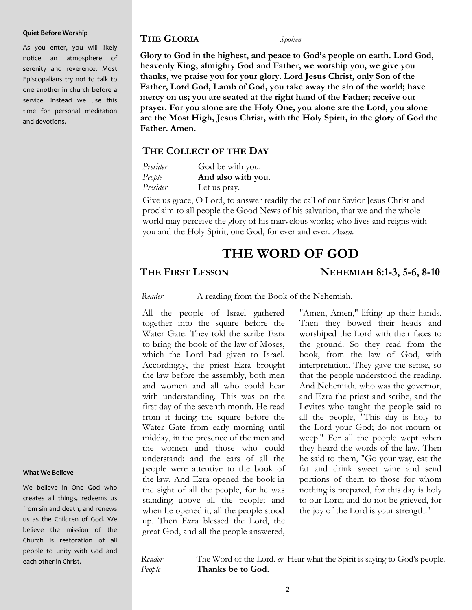#### **Quiet Before Worship**

As you enter, you will likely notice an atmosphere of serenity and reverence. Most Episcopalians try not to talk to one another in church before a service. Instead we use this time for personal meditation and devotions.

#### **THE GLORIA** *Spoken*

**Glory to God in the highest, and peace to God's people on earth. Lord God, heavenly King, almighty God and Father, we worship you, we give you thanks, we praise you for your glory. Lord Jesus Christ, only Son of the Father, Lord God, Lamb of God, you take away the sin of the world; have mercy on us; you are seated at the right hand of the Father; receive our prayer. For you alone are the Holy One, you alone are the Lord, you alone are the Most High, Jesus Christ, with the Holy Spirit, in the glory of God the Father. Amen.**

#### **THE COLLECT OF THE DAY**

| Presider | God be with you.   |  |  |
|----------|--------------------|--|--|
| People   | And also with you. |  |  |
| Presider | Let us pray.       |  |  |

Give us grace, O Lord, to answer readily the call of our Savior Jesus Christ and proclaim to all people the Good News of his salvation, that we and the whole world may perceive the glory of his marvelous works; who lives and reigns with you and the Holy Spirit, one God, for ever and ever. *Amen*.

## **THE WORD OF GOD**

**THE FIRST LESSON NEHEMIAH 8:1-3, 5-6, 8-10**

Reader A reading from the Book of the Nehemiah.

All the people of Israel gathered together into the square before the Water Gate. They told the scribe Ezra to bring the book of the law of Moses, which the Lord had given to Israel. Accordingly, the priest Ezra brought the law before the assembly, both men and women and all who could hear with understanding. This was on the first day of the seventh month. He read from it facing the square before the Water Gate from early morning until midday, in the presence of the men and the women and those who could understand; and the ears of all the people were attentive to the book of the law. And Ezra opened the book in the sight of all the people, for he was standing above all the people; and when he opened it, all the people stood up. Then Ezra blessed the Lord, the great God, and all the people answered,

"Amen, Amen," lifting up their hands. Then they bowed their heads and worshiped the Lord with their faces to the ground. So they read from the book, from the law of God, with interpretation. They gave the sense, so that the people understood the reading. And Nehemiah, who was the governor, and Ezra the priest and scribe, and the Levites who taught the people said to all the people, "This day is holy to the Lord your God; do not mourn or weep." For all the people wept when they heard the words of the law. Then he said to them, "Go your way, eat the fat and drink sweet wine and send portions of them to those for whom nothing is prepared, for this day is holy to our Lord; and do not be grieved, for the joy of the Lord is your strength."

#### **What We Believe**

We believe in One God who creates all things, redeems us from sin and death, and renews us as the Children of God. We believe the mission of the Church is restoration of all people to unity with God and each other in Christ.

*Reader* The Word of the Lord. *or* Hear what the Spirit is saying to God's people. *People* **Thanks be to God.**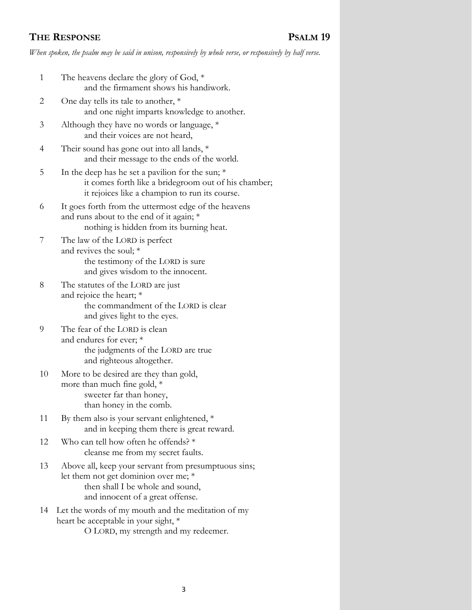## **THE RESPONSE PSALM 19**

*When spoken, the psalm may be said in unison, responsively by whole verse, or responsively by half verse.*

| $\mathbf{1}$ | The heavens declare the glory of God, *<br>and the firmament shows his handiwork.                                                                                    |
|--------------|----------------------------------------------------------------------------------------------------------------------------------------------------------------------|
| 2            | One day tells its tale to another, $*$<br>and one night imparts knowledge to another.                                                                                |
| 3            | Although they have no words or language, *<br>and their voices are not heard,                                                                                        |
| 4            | Their sound has gone out into all lands, *<br>and their message to the ends of the world.                                                                            |
| 5            | In the deep has he set a pavilion for the sun; $*$<br>it comes forth like a bridegroom out of his chamber;<br>it rejoices like a champion to run its course.         |
| 6            | It goes forth from the uttermost edge of the heavens<br>and runs about to the end of it again; *<br>nothing is hidden from its burning heat.                         |
| 7            | The law of the LORD is perfect<br>and revives the soul; *<br>the testimony of the LORD is sure<br>and gives wisdom to the innocent.                                  |
| 8            | The statutes of the LORD are just<br>and rejoice the heart; *<br>the commandment of the LORD is clear<br>and gives light to the eyes.                                |
| 9            | The fear of the LORD is clean<br>and endures for ever; *<br>the judgments of the LORD are true<br>and righteous altogether.                                          |
| 10           | More to be desired are they than gold,<br>more than much fine gold, *<br>sweeter far than honey,<br>than honey in the comb.                                          |
| 11           | By them also is your servant enlightened, $*$<br>and in keeping them there is great reward.                                                                          |
| 12           | Who can tell how often he offends? *<br>cleanse me from my secret faults.                                                                                            |
| 13           | Above all, keep your servant from presumptuous sins;<br>let them not get dominion over me; *<br>then shall I be whole and sound,<br>and innocent of a great offense. |
| 14           | Let the words of my mouth and the meditation of my<br>heart be acceptable in your sight, *<br>O LORD, my strength and my redeemer.                                   |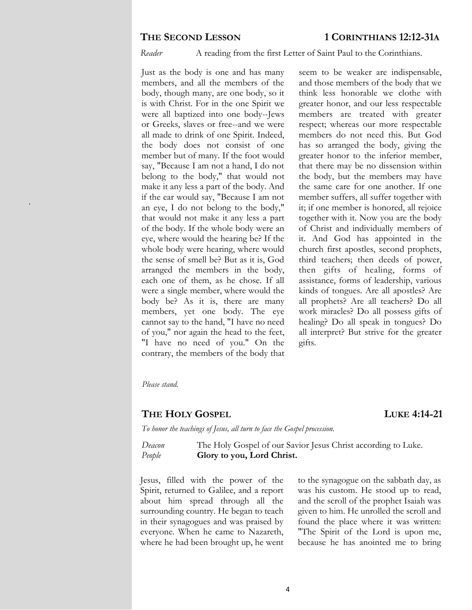.

*Reader* A reading from the first Letter of Saint Paul to the Corinthians.

Just as the body is one and has many members, and all the members of the body, though many, are one body, so it is with Christ. For in the one Spirit we were all baptized into one body--Jews or Greeks, slaves or free--and we were all made to drink of one Spirit. Indeed, the body does not consist of one member but of many. If the foot would say, "Because I am not a hand, I do not belong to the body," that would not make it any less a part of the body. And if the ear would say, "Because I am not an eye, I do not belong to the body," that would not make it any less a part of the body. If the whole body were an eye, where would the hearing be? If the whole body were hearing, where would the sense of smell be? But as it is, God arranged the members in the body, each one of them, as he chose. If all were a single member, where would the body be? As it is, there are many members, yet one body. The eye cannot say to the hand, "I have no need of you," nor again the head to the feet, "I have no need of you." On the contrary, the members of the body that

seem to be weaker are indispensable, and those members of the body that we think less honorable we clothe with greater honor, and our less respectable members are treated with greater respect; whereas our more respectable members do not need this. But God has so arranged the body, giving the greater honor to the inferior member, that there may be no dissension within the body, but the members may have the same care for one another. If one member suffers, all suffer together with it; if one member is honored, all rejoice together with it. Now you are the body of Christ and individually members of it. And God has appointed in the church first apostles, second prophets, third teachers; then deeds of power, then gifts of healing, forms of assistance, forms of leadership, various kinds of tongues. Are all apostles? Are all prophets? Are all teachers? Do all work miracles? Do all possess gifts of healing? Do all speak in tongues? Do all interpret? But strive for the greater gifts.

*Please stand.*

## **THE HOLY GOSPEL LUKE 4:14-21**

*To honor the teachings of Jesus, all turn to face the Gospel procession.*

*Deacon* The Holy Gospel of our Savior Jesus Christ according to Luke. *People* **Glory to you, Lord Christ.**

Jesus, filled with the power of the Spirit, returned to Galilee, and a report about him spread through all the surrounding country. He began to teach in their synagogues and was praised by everyone. When he came to Nazareth, where he had been brought up, he went

to the synagogue on the sabbath day, as was his custom. He stood up to read, and the scroll of the prophet Isaiah was given to him. He unrolled the scroll and found the place where it was written: "The Spirit of the Lord is upon me, because he has anointed me to bring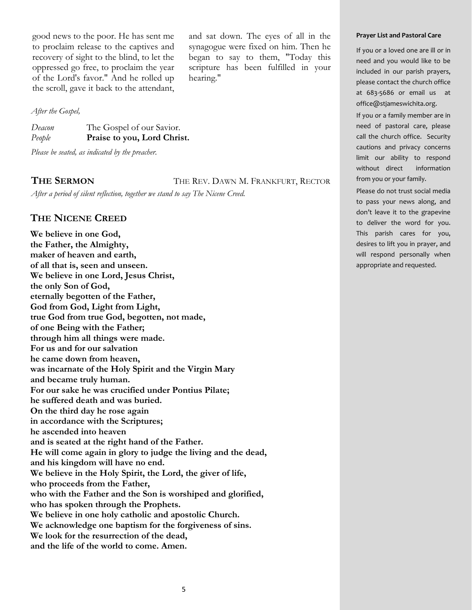good news to the poor. He has sent me to proclaim release to the captives and recovery of sight to the blind, to let the oppressed go free, to proclaim the year of the Lord's favor." And he rolled up the scroll, gave it back to the attendant,

and sat down. The eyes of all in the synagogue were fixed on him. Then he began to say to them, "Today this scripture has been fulfilled in your hearing."

#### *After the Gospel,*

| Deacon | The Gospel of our Savior.   |
|--------|-----------------------------|
| People | Praise to you, Lord Christ. |

*Please be seated, as indicated by the preacher.*

THE **SERMON** THE REV. DAWN M. FRANKFURT, RECTOR

*After a period of silent reflection, together we stand to say The Nicene Creed.*

## **THE NICENE CREED**

**We believe in one God, the Father, the Almighty, maker of heaven and earth, of all that is, seen and unseen. We believe in one Lord, Jesus Christ, the only Son of God, eternally begotten of the Father, God from God, Light from Light, true God from true God, begotten, not made, of one Being with the Father; through him all things were made. For us and for our salvation he came down from heaven, was incarnate of the Holy Spirit and the Virgin Mary and became truly human. For our sake he was crucified under Pontius Pilate; he suffered death and was buried. On the third day he rose again in accordance with the Scriptures; he ascended into heaven and is seated at the right hand of the Father. He will come again in glory to judge the living and the dead, and his kingdom will have no end. We believe in the Holy Spirit, the Lord, the giver of life, who proceeds from the Father, who with the Father and the Son is worshiped and glorified, who has spoken through the Prophets. We believe in one holy catholic and apostolic Church. We acknowledge one baptism for the forgiveness of sins. We look for the resurrection of the dead, and the life of the world to come. Amen.** 

#### **Prayer List and Pastoral Care**

If you or a loved one are ill or in need and you would like to be included in our parish prayers, please contact the church office at 683-5686 or email us at office@stjameswichita.org.

If you or a family member are in need of pastoral care, please call the church office. Security cautions and privacy concerns limit our ability to respond without direct information from you or your family.

Please do not trust social media to pass your news along, and don't leave it to the grapevine to deliver the word for you. This parish cares for you, desires to lift you in prayer, and will respond personally when appropriate and requested.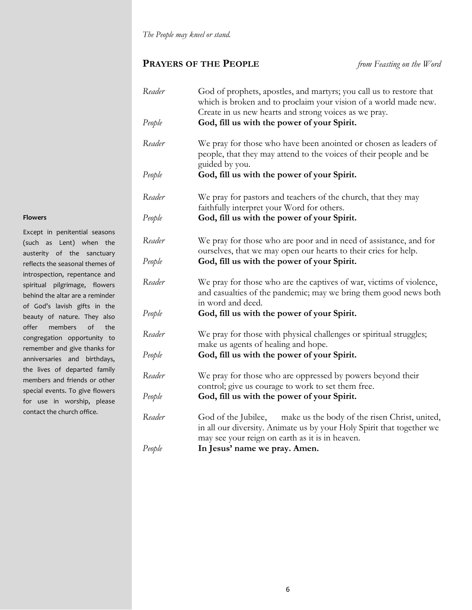## **PRAYERS OF THE PEOPLE** *from Feasting on the Word*

| Reader | God of prophets, apostles, and martyrs; you call us to restore that<br>which is broken and to proclaim your vision of a world made new.<br>Create in us new hearts and strong voices as we pray. |
|--------|--------------------------------------------------------------------------------------------------------------------------------------------------------------------------------------------------|
| People | God, fill us with the power of your Spirit.                                                                                                                                                      |
| Reader | We pray for those who have been anointed or chosen as leaders of<br>people, that they may attend to the voices of their people and be<br>guided by you.                                          |
| People | God, fill us with the power of your Spirit.                                                                                                                                                      |
| Reader | We pray for pastors and teachers of the church, that they may<br>faithfully interpret your Word for others.                                                                                      |
| People | God, fill us with the power of your Spirit.                                                                                                                                                      |
| Reader | We pray for those who are poor and in need of assistance, and for<br>ourselves, that we may open our hearts to their cries for help.                                                             |
| People | God, fill us with the power of your Spirit.                                                                                                                                                      |
| Reader | We pray for those who are the captives of war, victims of violence,<br>and casualties of the pandemic; may we bring them good news both<br>in word and deed.                                     |
| People | God, fill us with the power of your Spirit.                                                                                                                                                      |
| Reader | We pray for those with physical challenges or spiritual struggles;<br>make us agents of healing and hope.                                                                                        |
| People | God, fill us with the power of your Spirit.                                                                                                                                                      |
| Reader | We pray for those who are oppressed by powers beyond their<br>control; give us courage to work to set them free.                                                                                 |
| People | God, fill us with the power of your Spirit.                                                                                                                                                      |
| Reader | God of the Jubilee, make us the body of the risen Christ, united,<br>in all our diversity. Animate us by your Holy Spirit that together we<br>may see your reign on earth as it is in heaven.    |
| People | In Jesus' name we pray. Amen.                                                                                                                                                                    |

#### **Flowers**

Except in penitential seasons (such as Lent) when the austerity of the sanctuary reflects the seasonal themes of introspection, repentance and spiritual pilgrimage, flowers behind the altar are a reminder of God's lavish gifts in the beauty of nature. They also offer members of the congregation opportunity to remember and give thanks for anniversaries and birthdays, the lives of departed family members and friends or other special events. To give flowers for use in worship, please contact the church office.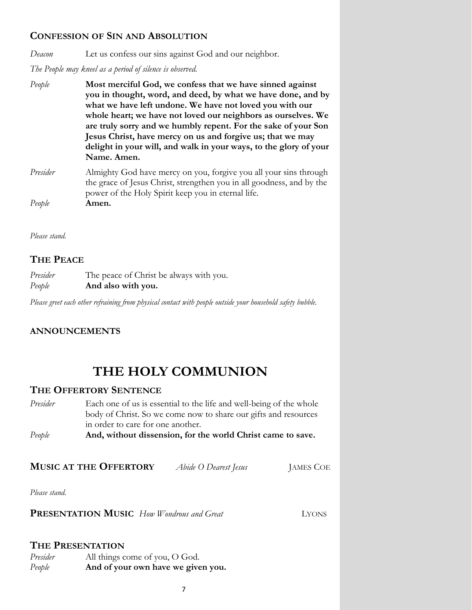## **CONFESSION OF SIN AND ABSOLUTION**

*Deacon* Let us confess our sins against God and our neighbor.

*The People may kneel as a period of silence is observed.*

- *People* **Most merciful God, we confess that we have sinned against you in thought, word, and deed, by what we have done, and by what we have left undone. We have not loved you with our whole heart; we have not loved our neighbors as ourselves. We are truly sorry and we humbly repent. For the sake of your Son Jesus Christ, have mercy on us and forgive us; that we may delight in your will, and walk in your ways, to the glory of your Name. Amen.**
- *Presider* Almighty God have mercy on you, forgive you all your sins through the grace of Jesus Christ, strengthen you in all goodness, and by the power of the Holy Spirit keep you in eternal life. *People* **Amen.**

*Please stand.* 

## **THE PEACE**

| Presider | The peace of Christ be always with you. |
|----------|-----------------------------------------|
| People   | And also with you.                      |

*Please greet each other refraining from physical contact with people outside your household safety bubble.* 

## **ANNOUNCEMENTS**

# **THE HOLY COMMUNION**

## **THE OFFERTORY SENTENCE**

| People   | And, without dissension, for the world Christ came to save.         |
|----------|---------------------------------------------------------------------|
|          | in order to care for one another.                                   |
|          | body of Christ. So we come now to share our gifts and resources     |
| Presider | Each one of us is essential to the life and well-being of the whole |

**MUSIC AT THE OFFERTORY** *Abide O Dearest Jesus* JAMES COE

*Please stand.*

**PRESENTATION MUSIC** *How Wondrous and Great* LYONS

## **THE PRESENTATION**

| Presider | All things come of you, O God.     |
|----------|------------------------------------|
| People   | And of your own have we given you. |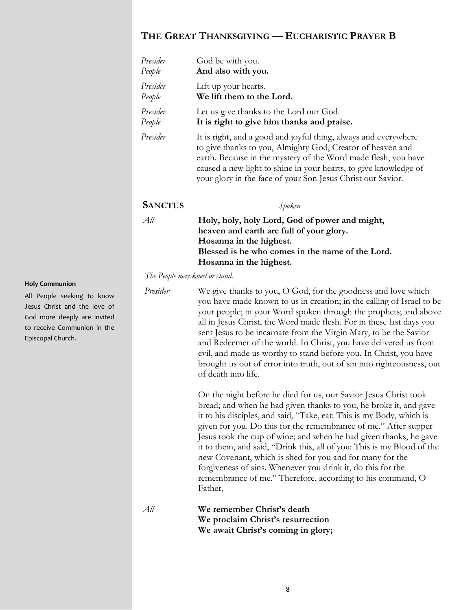## **THE GREAT THANKSGIVING — EUCHARISTIC PRAYER B**

| Presider<br>People             | God be with you.<br>And also with you.                                                                                                                                                                                                                                                                                             |
|--------------------------------|------------------------------------------------------------------------------------------------------------------------------------------------------------------------------------------------------------------------------------------------------------------------------------------------------------------------------------|
| Presider<br>People             | Lift up your hearts.<br>We lift them to the Lord.                                                                                                                                                                                                                                                                                  |
| Presider<br>People             | Let us give thanks to the Lord our God.<br>It is right to give him thanks and praise.                                                                                                                                                                                                                                              |
| Presider                       | It is right, and a good and joyful thing, always and everywhere<br>to give thanks to you, Almighty God, Creator of heaven and<br>earth. Because in the mystery of the Word made flesh, you have<br>caused a new light to shine in your hearts, to give knowledge of<br>your glory in the face of your Son Jesus Christ our Savior. |
| <b>SANCTUS</b>                 | Spoken                                                                                                                                                                                                                                                                                                                             |
| All                            | Holy, holy, holy Lord, God of power and might,<br>heaven and earth are full of your glory.<br>Hosanna in the highest.<br>Blessed is he who comes in the name of the Lord.<br>Hosanna in the highest.                                                                                                                               |
| The People may kneel or stand. |                                                                                                                                                                                                                                                                                                                                    |
| Presider                       | We give thanks to you, O God, for the goodness and love which                                                                                                                                                                                                                                                                      |

All People seeking to know Jesus Christ and the love of God more deeply are invited to receive Communion in the Episcopal Church.

**Holy Communion**

you have made known to us in creation; in the calling of Israel to be your people; in your Word spoken through the prophets; and above all in Jesus Christ, the Word made flesh. For in these last days you sent Jesus to be incarnate from the Virgin Mary, to be the Savior and Redeemer of the world. In Christ, you have delivered us from evil, and made us worthy to stand before you. In Christ, you have brought us out of error into truth, out of sin into righteousness, out of death into life.

On the night before he died for us, our Savior Jesus Christ took bread; and when he had given thanks to you, he broke it, and gave it to his disciples, and said, "Take, eat: This is my Body, which is given for you. Do this for the remembrance of me." After supper Jesus took the cup of wine; and when he had given thanks, he gave it to them, and said, "Drink this, all of you: This is my Blood of the new Covenant, which is shed for you and for many for the forgiveness of sins. Whenever you drink it, do this for the remembrance of me." Therefore, according to his command, O Father,

*All* **We remember Christ's death We proclaim Christ's resurrection We await Christ's coming in glory;**

8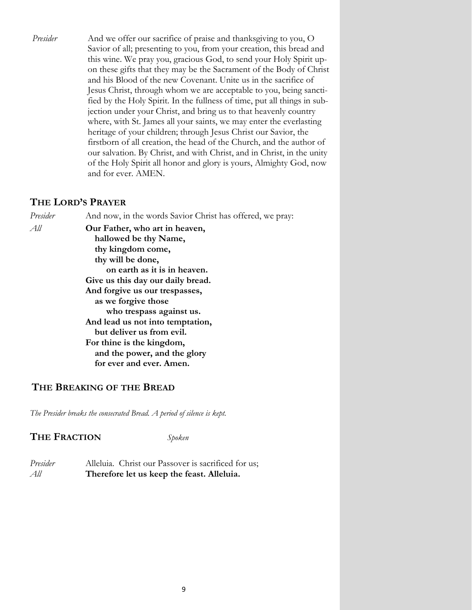*Presider* And we offer our sacrifice of praise and thanksgiving to you, O Savior of all; presenting to you, from your creation, this bread and this wine. We pray you, gracious God, to send your Holy Spirit upon these gifts that they may be the Sacrament of the Body of Christ and his Blood of the new Covenant. Unite us in the sacrifice of Jesus Christ, through whom we are acceptable to you, being sanctified by the Holy Spirit. In the fullness of time, put all things in subjection under your Christ, and bring us to that heavenly country where, with St. James all your saints, we may enter the everlasting heritage of your children; through Jesus Christ our Savior, the firstborn of all creation, the head of the Church, and the author of our salvation. By Christ, and with Christ, and in Christ, in the unity of the Holy Spirit all honor and glory is yours, Almighty God, now and for ever. AMEN.

## **THE LORD'S PRAYER**

*Presider* And now, in the words Savior Christ has offered, we pray: *All* **Our Father, who art in heaven, hallowed be thy Name, thy kingdom come, thy will be done, on earth as it is in heaven. Give us this day our daily bread. And forgive us our trespasses, as we forgive those who trespass against us. And lead us not into temptation, but deliver us from evil. For thine is the kingdom, and the power, and the glory for ever and ever. Amen.**

## **THE BREAKING OF THE BREAD**

*The Presider breaks the consecrated Bread. A period of silence is kept.*

## **THE FRACTION** *Spoken*

*Presider* Alleluia. Christ our Passover is sacrificed for us; *All* **Therefore let us keep the feast. Alleluia.**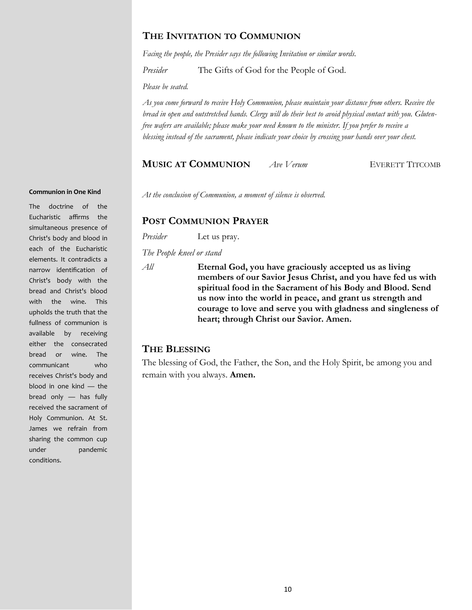## **THE INVITATION TO COMMUNION**

*Facing the people, the Presider says the following Invitation or similar words.*

*Presider* The Gifts of God for the People of God.

*Please be seated.* 

*As you come forward to receive Holy Communion, please maintain your distance from others. Receive the bread in open and outstretched hands. Clergy will do their best to avoid physical contact with you. Glutenfree wafers are available; please make your need known to the minister. If you prefer to receive a blessing instead of the sacrament, please indicate your choice by crossing your hands over your chest.* 

### **MUSIC AT COMMUNION** *Ave Verum* EVERETT TITCOMB

#### **Communion in One Kind**

The doctrine of the Eucharistic affirms the simultaneous presence of Christ's body and blood in each of the Eucharistic elements. It contradicts a narrow identification of Christ's body with the bread and Christ's blood with the wine. This upholds the truth that the fullness of communion is available by receiving either the consecrated bread or wine. The communicant who receives Christ's body and blood in one kind — the bread only — has fully received the sacrament of Holy Communion. At St. James we refrain from sharing the common cup under pandemic conditions.

*At the conclusion of Communion, a moment of silence is observed.*

## **POST COMMUNION PRAYER**

*Presider* Let us pray.

*The People kneel or stand*

*All* **Eternal God, you have graciously accepted us as living members of our Savior Jesus Christ, and you have fed us with spiritual food in the Sacrament of his Body and Blood. Send us now into the world in peace, and grant us strength and courage to love and serve you with gladness and singleness of heart; through Christ our Savior. Amen.** 

## **THE BLESSING**

The blessing of God, the Father, the Son, and the Holy Spirit, be among you and remain with you always. **Amen.**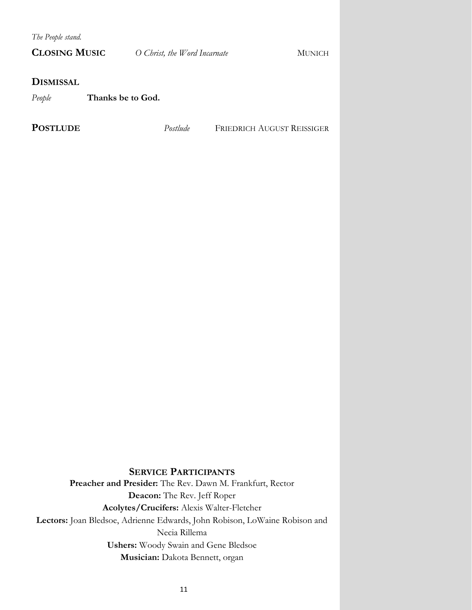*The People stand.* 

| <b>CLOSING MUSIC</b>        |  | O Christ, the Word Incarnate | <b>MUNICH</b>                     |  |
|-----------------------------|--|------------------------------|-----------------------------------|--|
| <b>DISMISSAL</b>            |  |                              |                                   |  |
| People<br>Thanks be to God. |  |                              |                                   |  |
| <b>POSTLUDE</b>             |  | Postlude                     | <b>FRIEDRICH AUGUST REISSIGER</b> |  |

## **SERVICE PARTICIPANTS**

**Preacher and Presider:** The Rev. Dawn M. Frankfurt, Rector **Deacon:** The Rev. Jeff Roper **Acolytes/Crucifers:** Alexis Walter-Fletcher **Lectors:** Joan Bledsoe, Adrienne Edwards, John Robison, LoWaine Robison and Necia Rillema **Ushers:** Woody Swain and Gene Bledsoe **Musician:** Dakota Bennett, organ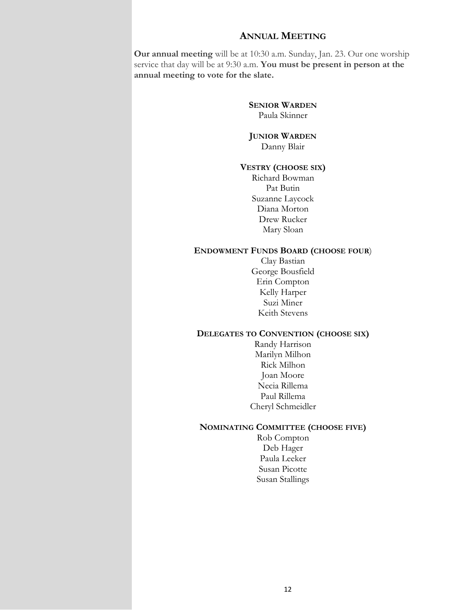## **ANNUAL MEETING**

**Our annual meeting** will be at 10:30 a.m. Sunday, Jan. 23. Our one worship service that day will be at 9:30 a.m. **You must be present in person at the annual meeting to vote for the slate.**

> **SENIOR WARDEN** Paula Skinner

**JUNIOR WARDEN** Danny Blair

### **VESTRY (CHOOSE SIX)**

Richard Bowman Pat Butin Suzanne Laycock Diana Morton Drew Rucker Mary Sloan

#### **ENDOWMENT FUNDS BOARD (CHOOSE FOUR**)

Clay Bastian George Bousfield Erin Compton Kelly Harper Suzi Miner Keith Stevens

#### **DELEGATES TO CONVENTION (CHOOSE SIX)**

Randy Harrison Marilyn Milhon Rick Milhon Joan Moore Necia Rillema Paul Rillema Cheryl Schmeidler

#### **NOMINATING COMMITTEE (CHOOSE FIVE)**

Rob Compton Deb Hager Paula Leeker Susan Picotte Susan Stallings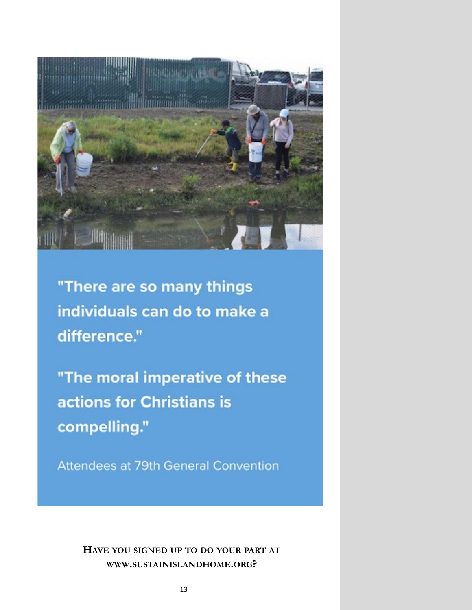

"There are so many things individuals can do to make a difference."

"The moral imperative of these actions for Christians is compelling."

Attendees at 79th General Convention

**HAVE YOU SIGNED UP TO DO YOUR PART AT WWW.SUSTAINISLANDHOME.ORG?**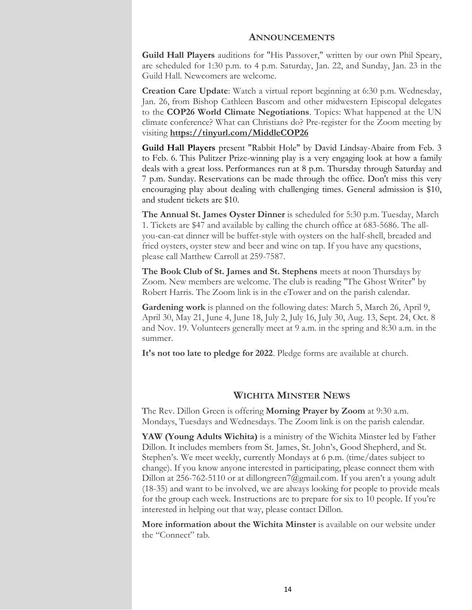#### **ANNOUNCEMENTS**

**[Guild Hall Players](https://r20.rs6.net/tn.jsp?f=001f3vUcpFnllnwPBOBdWi6WYjbzUfQDa_rpu2o1HRIGTr7ruQoLH_NAxK1m35Z80OHjy6DZdyvFgHJFaomXlim5Imd2WHPVA6ksfhdWhy0jXdFsJQ-dNEW1wsjHIeGiLA5IcrPUAwiEcnx2Qtk6UYarudAzccjbQW8ePX4FzZTdTfM7Hb8v97ge5BLKHoTNHoN9GRm3qEGg_I=&c=fp3nXw0Tc-hh45dzjGA_)** auditions for "His Passover," written by our own Phil Speary, are scheduled for 1:30 p.m. to 4 p.m. Saturday, Jan. 22, and Sunday, Jan. 23 in the Guild Hall. Newcomers are welcome.

**Creation Care Update**: Watch a virtual report beginning at 6:30 p.m. Wednesday, Jan. 26, from Bishop Cathleen Bascom and other midwestern Episcopal delegates to the **COP26 World Climate Negotiations**. Topics: What happened at the UN climate conference? What can Christians do? Pre-register for the Zoom meeting by visiting **[https://tinyurl.com/MiddleCOP26](https://r20.rs6.net/tn.jsp?f=001cxvH_7HQ9il0JKsxWrRRHwWEzbxAfBxLnh6CkFt0282wKAAhU5PzvMgF_WStQAbI2yo80n1tEtZZuceEe1aN4Dk-_xWqAA9i8uYzyebbA8ZzUgKpxXIgC7UEspjZBR47qoqLPAGEHPJMRbyhGpMfQnzF4gq-FH3n&c=DlMaGIkspSDnjnTw6nP9rQvuQpeU0Z-VT1idXUZYi-BdkwQXgz-GMg==&ch=L02K)**

**Guild Hall Players** present "Rabbit Hole" by David Lindsay-Abaire from Feb. 3 to Feb. 6. This Pulitzer Prize-winning play is a very engaging look at how a family deals with a great loss. Performances run at 8 p.m. Thursday through Saturday and 7 p.m. Sunday. Reservations can be made through the office. Don't miss this very encouraging play about dealing with challenging times. General admission is \$10, and student tickets are \$10.

**The Annual St. James Oyster Dinner** is scheduled for 5:30 p.m. Tuesday, March 1. Tickets are \$47 and available by calling the church office at 683-5686. The allyou-can-eat dinner will be buffet-style with oysters on the half-shell, breaded and fried oysters, oyster stew and beer and wine on tap. If you have any questions, please call Matthew Carroll at 259-7587.

**The Book Club of St. James and St. Stephens** meets at noon Thursdays by Zoom. New members are welcome. The club is reading "The Ghost Writer" by Robert Harris. The Zoom link is in the eTower and on the parish calendar.

**Gardening work** is planned on the following dates: March 5, March 26, April 9, April 30, May 21, June 4, June 18, July 2, July 16, July 30, Aug. 13, Sept. 24, Oct. 8 and Nov. 19. Volunteers generally meet at 9 a.m. in the spring and 8:30 a.m. in the summer.

**It's not too late to pledge for 2022**. Pledge forms are available at church.

## **WICHITA MINSTER NEWS**

The Rev. Dillon Green is offering **Morning Prayer by Zoom** at 9:30 a.m. Mondays, Tuesdays and Wednesdays. The Zoom link is on the parish calendar.

**YAW (Young Adults Wichita)** is a ministry of the Wichita Minster led by Father Dillon. It includes members from St. James, St. John's, Good Shepherd, and St. Stephen's. We meet weekly, currently Mondays at 6 p.m. (time/dates subject to change). If you know anyone interested in participating, please connect them with Dillon at 256-762-5110 or at [dillongreen7@gmail.com.](mailto:dillongreen7@gmail.com) If you aren't a young adult (18-35) and want to be involved, we are always looking for people to provide meals for the group each week. Instructions are to prepare for six to 10 people. If you're interested in helping out that way, please contact Dillon.

**More information about the Wichita Minster** is available on our website under the "Connect" tab.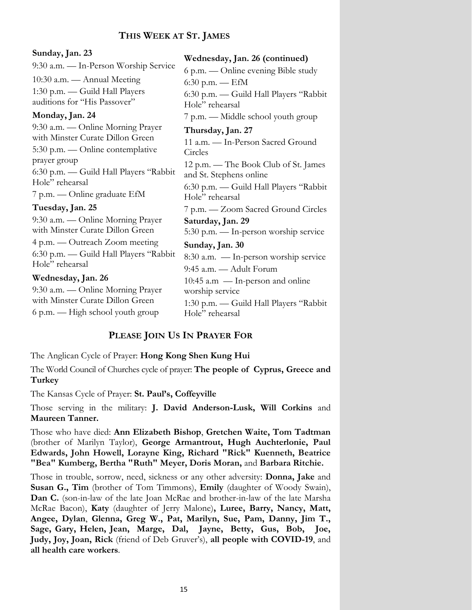## **THIS WEEK AT ST. JAMES**

### **Sunday, Jan. 23**

9:30 a.m. — In-Person Worship Service 10:30 a.m. — Annual Meeting 1:30 p.m. — Guild Hall Players auditions for "His Passover"

### **Monday, Jan. 24**

9:30 a.m. — Online Morning Prayer with Minster Curate Dillon Green 5:30 p.m. — Online contemplative prayer group 6:30 p.m. — Guild Hall Players "Rabbit Hole" rehearsal 7 p.m. — Online graduate EfM

## **Tuesday, Jan. 25**

9:30 a.m. — Online Morning Prayer with Minster Curate Dillon Green 4 p.m. — Outreach Zoom meeting 6:30 p.m. — Guild Hall Players "Rabbit Hole" rehearsal

### **Wednesday, Jan. 26**

9:30 a.m. — Online Morning Prayer with Minster Curate Dillon Green 6 p.m. — High school youth group

6 p.m. — Online evening Bible study 6:30 p.m. —  $EfM$ 6:30 p.m. — Guild Hall Players "Rabbit Hole" rehearsal 7 p.m. — Middle school youth group **Thursday, Jan. 27** 11 a.m. — In-Person Sacred Ground Circles 12 p.m. — The Book Club of St. James and St. Stephens online 6:30 p.m. — Guild Hall Players "Rabbit Hole" rehearsal 7 p.m. — Zoom Sacred Ground Circles **Saturday, Jan. 29** 5:30 p.m. — In-person worship service **Sunday, Jan. 30** 8:30 a.m. — In-person worship service 9:45 a.m. — Adult Forum 10:45 a.m — In-person and online worship service 1:30 p.m. — Guild Hall Players "Rabbit Hole" rehearsal

**Wednesday, Jan. 26 (continued)**

## **PLEASE JOIN US IN PRAYER FOR**

The Anglican Cycle of Prayer: **Hong Kong Shen Kung Hui**

The World Council of Churches cycle of prayer: **The people of Cyprus, Greece and Turkey**

The Kansas Cycle of Prayer: **St. Paul's, Coffeyville**

Those serving in the military: **J. David Anderson-Lusk, Will Corkins** and **Maureen Tanner.**

Those who have died: **Ann Elizabeth Bishop**, **Gretchen Waite, Tom Tadtman**  (brother of Marilyn Taylor), **George Armantrout, Hugh Auchterlonie, Paul Edwards, John Howell, Lorayne King, Richard "Rick" Kuenneth, Beatrice "Bea" Kumberg, Bertha "Ruth" Meyer, Doris Moran,** and **Barbara Ritchie.** 

Those in trouble, sorrow, need, sickness or any other adversity: **Donna, Jake** and **Susan G., Tim** (brother of Tom Timmons), **Emily** (daughter of Woody Swain), **Dan C.** (son-in-law of the late Joan McRae and brother-in-law of the late Marsha McRae Bacon), **Katy** (daughter of Jerry Malone)**, Luree, Barry, Nancy, Matt, Angee, Dylan**, **Glenna, Greg W., Pat, Marilyn, Sue, Pam, Danny, Jim T., Sage, Gary, Helen, Jean, Marge, Dal, Jayne, Betty, Gus, Bob, Joe, Judy, Joy, Joan, Rick** (friend of Deb Gruver's), **all people with COVID-19**, and **all health care workers**.